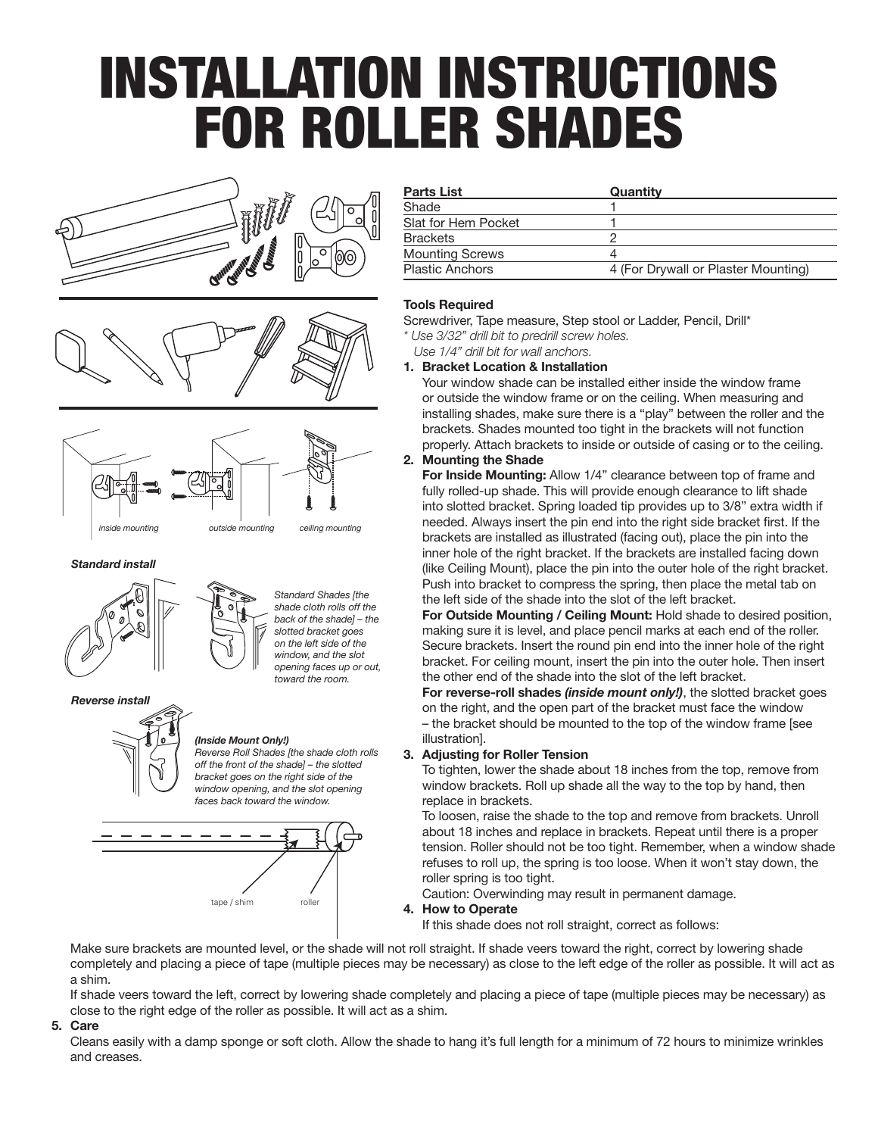# INSTALLATION INSTRUCTIONS FOR ROLLER SHADES







#### *Standard install*



*Standard Shades [the shade cloth rolls off the back of the shade] – the slotted bracket goes on the left side of the window, and the slot opening faces up or out, toward the room.*

#### *Reverse install*



#### *(Inside Mount Only!)*

*Reverse Roll Shades [the shade cloth rolls off the front of the shade] – the slotted bracket goes on the right side of the window opening, and the slot opening faces back toward the window.*



| <b>Parts List</b>      | Quantity                            |
|------------------------|-------------------------------------|
| Shade                  |                                     |
| Slat for Hem Pocket    |                                     |
| <b>Brackets</b>        |                                     |
| <b>Mounting Screws</b> |                                     |
| <b>Plastic Anchors</b> | 4 (For Drywall or Plaster Mounting) |

#### **Tools Required**

Screwdriver, Tape measure, Step stool or Ladder, Pencil, Drill\*

*\* Use 3/32" drill bit to predrill screw holes.*

#### *Use 1/4" drill bit for wall anchors.* **1. Bracket Location & Installation**

Your window shade can be installed either inside the window frame or outside the window frame or on the ceiling. When measuring and installing shades, make sure there is a "play" between the roller and the brackets. Shades mounted too tight in the brackets will not function properly. Attach brackets to inside or outside of casing or to the ceiling.

### **2. Mounting the Shade**

**For Inside Mounting:** Allow 1/4" clearance between top of frame and fully rolled-up shade. This will provide enough clearance to lift shade into slotted bracket. Spring loaded tip provides up to 3/8" extra width if needed. Always insert the pin end into the right side bracket first. If the brackets are installed as illustrated (facing out), place the pin into the inner hole of the right bracket. If the brackets are installed facing down (like Ceiling Mount), place the pin into the outer hole of the right bracket. Push into bracket to compress the spring, then place the metal tab on the left side of the shade into the slot of the left bracket.

**For Outside Mounting / Ceiling Mount:** Hold shade to desired position, making sure it is level, and place pencil marks at each end of the roller. Secure brackets. Insert the round pin end into the inner hole of the right bracket. For ceiling mount, insert the pin into the outer hole. Then insert the other end of the shade into the slot of the left bracket.

**For reverse-roll shades** *(inside mount only!)*, the slotted bracket goes on the right, and the open part of the bracket must face the window – the bracket should be mounted to the top of the window frame [see illustration].

#### **3. Adjusting for Roller Tension**

To tighten, lower the shade about 18 inches from the top, remove from window brackets. Roll up shade all the way to the top by hand, then replace in brackets.

To loosen, raise the shade to the top and remove from brackets. Unroll about 18 inches and replace in brackets. Repeat until there is a proper tension. Roller should not be too tight. Remember, when a window shade refuses to roll up, the spring is too loose. When it won't stay down, the roller spring is too tight.

Caution: Overwinding may result in permanent damage.

#### **4. How to Operate**

If this shade does not roll straight, correct as follows:

Make sure brackets are mounted level, or the shade will not roll straight. If shade veers toward the right, correct by lowering shade completely and placing a piece of tape (multiple pieces may be necessary) as close to the left edge of the roller as possible. It will act as a shim.

If shade veers toward the left, correct by lowering shade completely and placing a piece of tape (multiple pieces may be necessary) as close to the right edge of the roller as possible. It will act as a shim.

#### **5. Care**

Cleans easily with a damp sponge or soft cloth. Allow the shade to hang it's full length for a minimum of 72 hours to minimize wrinkles and creases.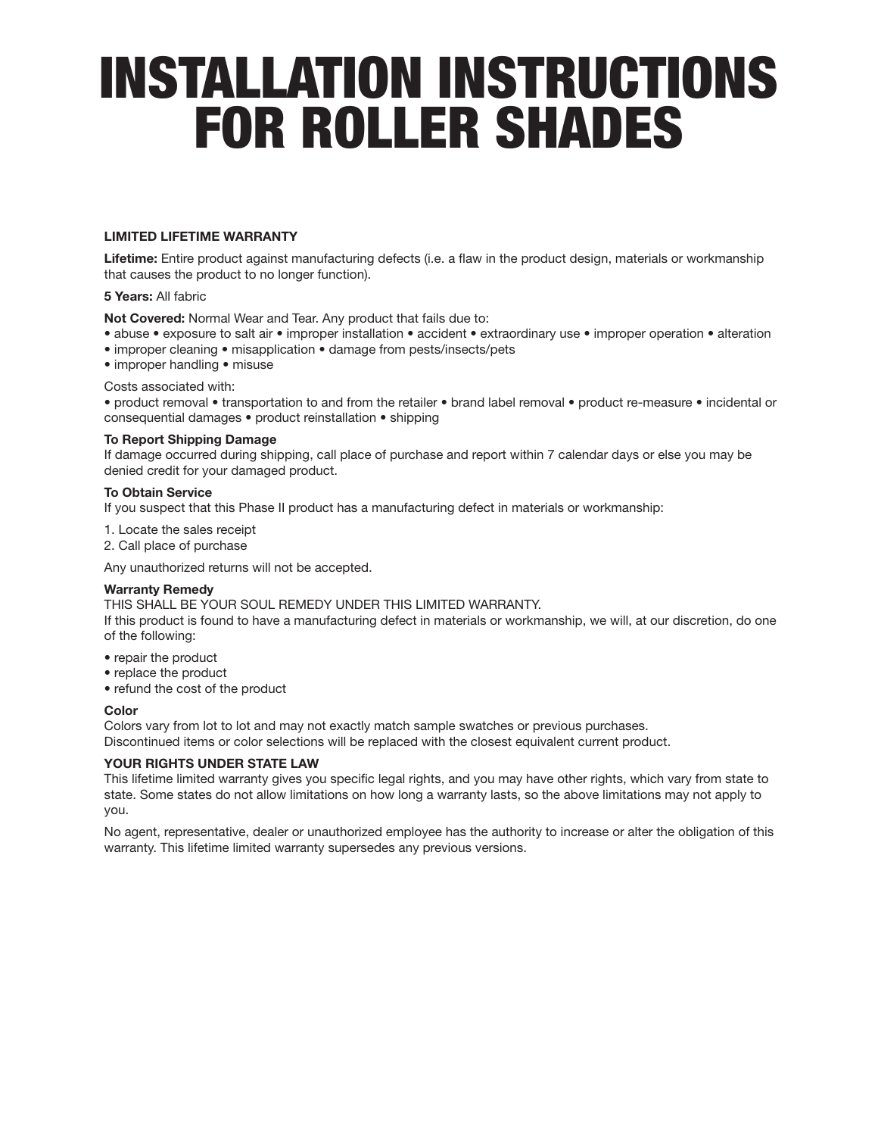# INSTALLATION INSTRUCTIONS FOR ROLLER SHADES

### **LIMITED LIFETIME WARRANTY**

**Lifetime:** Entire product against manufacturing defects (i.e. a flaw in the product design, materials or workmanship that causes the product to no longer function).

#### **5 Years:** All fabric

**Not Covered:** Normal Wear and Tear. Any product that fails due to:

- abuse exposure to salt air improper installation accident extraordinary use improper operation alteration
- improper cleaning misapplication damage from pests/insects/pets
- improper handling misuse

Costs associated with:

• product removal • transportation to and from the retailer • brand label removal • product re-measure • incidental or consequential damages • product reinstallation • shipping

#### **To Report Shipping Damage**

If damage occurred during shipping, call place of purchase and report within 7 calendar days or else you may be denied credit for your damaged product.

#### **To Obtain Service**

If you suspect that this Phase II product has a manufacturing defect in materials or workmanship:

- 1. Locate the sales receipt
- 2. Call place of purchase

Any unauthorized returns will not be accepted.

#### **Warranty Remedy**

THIS SHALL BE YOUR SOUL REMEDY UNDER THIS LIMITED WARRANTY.

If this product is found to have a manufacturing defect in materials or workmanship, we will, at our discretion, do one of the following:

- repair the product
- replace the product
- refund the cost of the product

#### **Color**

Colors vary from lot to lot and may not exactly match sample swatches or previous purchases.

Discontinued items or color selections will be replaced with the closest equivalent current product.

#### **YOUR RIGHTS UNDER STATE LAW**

This lifetime limited warranty gives you specific legal rights, and you may have other rights, which vary from state to state. Some states do not allow limitations on how long a warranty lasts, so the above limitations may not apply to you.

No agent, representative, dealer or unauthorized employee has the authority to increase or alter the obligation of this warranty. This lifetime limited warranty supersedes any previous versions.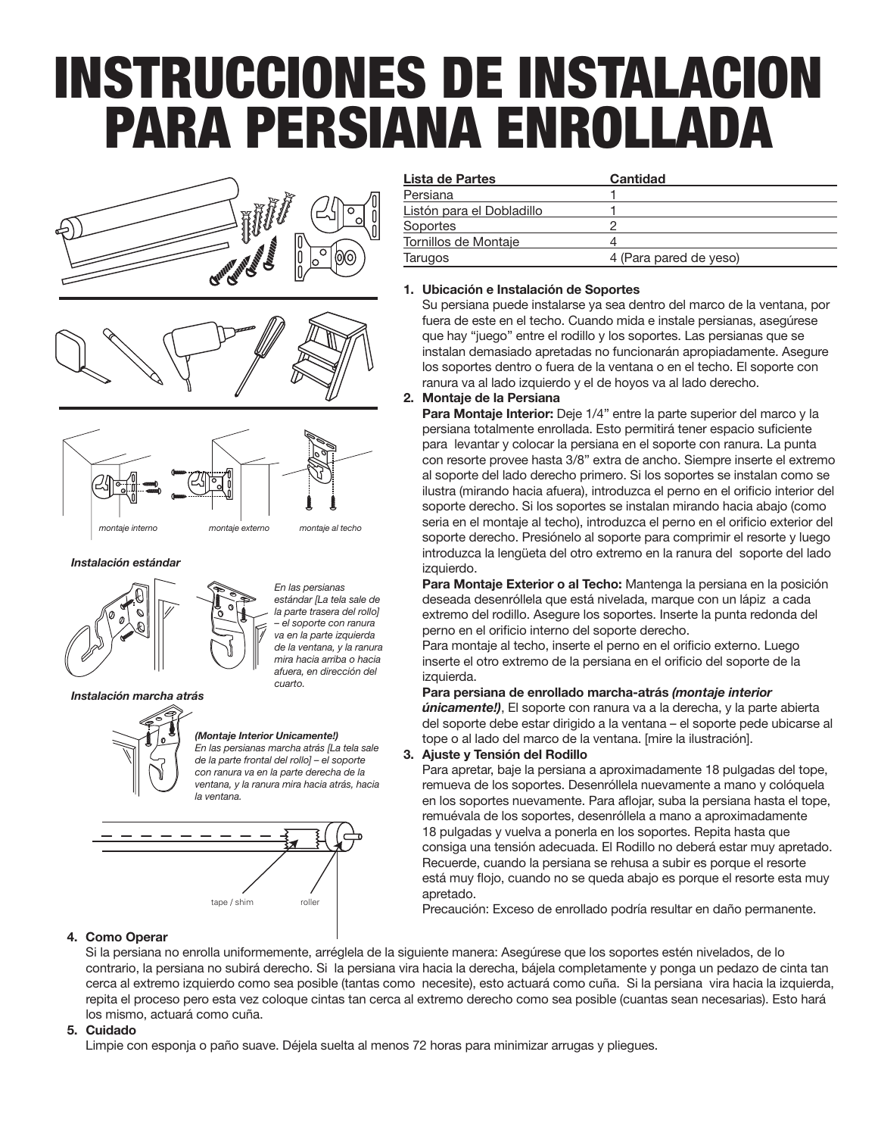# INSTRUCCIONES DE INSTALACION PARA PERSIANA ENROLLADA







*Instalación estándar* 



*En las persianas estándar [La tela sale de la parte trasera del rollo] – el soporte con ranura va en la parte izquierda de la ventana, y la ranura mira hacia arriba o hacia afuera, en dirección del cuarto.*

*Instalación marcha atrás*



# *(Montaje Interior Unicamente!)*

*En las persianas marcha atrás [La tela sale de la parte frontal del rollo] – el soporte con ranura va en la parte derecha de la ventana, y la ranura mira hacia atrás, hacia la ventana.*



| Lista de Partes           | Cantidad               |
|---------------------------|------------------------|
| Persiana                  |                        |
| Listón para el Dobladillo |                        |
| Soportes                  | C                      |
| Tornillos de Montaje      |                        |
| Tarugos                   | 4 (Para pared de yeso) |

# **1. Ubicación e Instalación de Soportes**

Su persiana puede instalarse ya sea dentro del marco de la ventana, por fuera de este en el techo. Cuando mida e instale persianas, asegúrese que hay "juego" entre el rodillo y los soportes. Las persianas que se instalan demasiado apretadas no funcionarán apropiadamente. Asegure los soportes dentro o fuera de la ventana o en el techo. El soporte con ranura va al lado izquierdo y el de hoyos va al lado derecho.

### **2. Montaje de la Persiana**

**Para Montaje Interior:** Deje 1/4" entre la parte superior del marco y la persiana totalmente enrollada. Esto permitirá tener espacio suficiente para levantar y colocar la persiana en el soporte con ranura. La punta con resorte provee hasta 3/8" extra de ancho. Siempre inserte el extremo al soporte del lado derecho primero. Si los soportes se instalan como se ilustra (mirando hacia afuera), introduzca el perno en el orificio interior del soporte derecho. Si los soportes se instalan mirando hacia abajo (como seria en el montaje al techo), introduzca el perno en el orificio exterior del soporte derecho. Presiónelo al soporte para comprimir el resorte y luego introduzca la lengüeta del otro extremo en la ranura del soporte del lado izquierdo.

**Para Montaje Exterior o al Techo:** Mantenga la persiana en la posición deseada desenróllela que está nivelada, marque con un lápiz a cada extremo del rodillo. Asegure los soportes. Inserte la punta redonda del perno en el orificio interno del soporte derecho.

Para montaje al techo, inserte el perno en el orificio externo. Luego inserte el otro extremo de la persiana en el orificio del soporte de la izquierda.

**Para persiana de enrollado marcha-atrás** *(montaje interior únicamente!)*, El soporte con ranura va a la derecha, y la parte abierta del soporte debe estar dirigido a la ventana – el soporte pede ubicarse al tope o al lado del marco de la ventana. [mire la ilustración].

**3. Ajuste y Tensión del Rodillo**

Para apretar, baje la persiana a aproximadamente 18 pulgadas del tope, remueva de los soportes. Desenróllela nuevamente a mano y colóquela en los soportes nuevamente. Para aflojar, suba la persiana hasta el tope, remuévala de los soportes, desenróllela a mano a aproximadamente 18 pulgadas y vuelva a ponerla en los soportes. Repita hasta que consiga una tensión adecuada. El Rodillo no deberá estar muy apretado. Recuerde, cuando la persiana se rehusa a subir es porque el resorte está muy flojo, cuando no se queda abajo es porque el resorte esta muy apretado.

Precaución: Exceso de enrollado podría resultar en daño permanente.

# **4. Como Operar**

Si la persiana no enrolla uniformemente, arréglela de la siguiente manera: Asegúrese que los soportes estén nivelados, de lo contrario, la persiana no subirá derecho. Si la persiana vira hacia la derecha, bájela completamente y ponga un pedazo de cinta tan cerca al extremo izquierdo como sea posible (tantas como necesite), esto actuará como cuña. Si la persiana vira hacia la izquierda, repita el proceso pero esta vez coloque cintas tan cerca al extremo derecho como sea posible (cuantas sean necesarias). Esto hará los mismo, actuará como cuña.

# **5. Cuidado**

Limpie con esponja o paño suave. Déjela suelta al menos 72 horas para minimizar arrugas y pliegues.